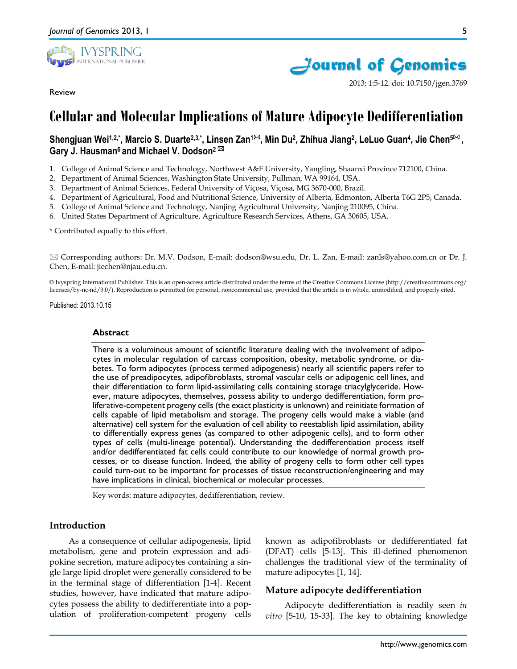



2013; 1:5-12. doi: 10.7150/jgen.3769

# **Cellular and Molecular Implications of Mature Adipocyte Dedifferentiation**

# Shengjuan Wei<sup>1,2,∗</sup>, Marcio S. Duarte<sup>2,3,∗</sup>, Linsen Zan<sup>1⊠</sup>, Min Du<sup>2</sup>, Zhihua Jiang<sup>2</sup>, LeLuo Guan<sup>4</sup>, Jie Chen<sup>5⊠</sup> , **Gary J. Hausman6 and Michael V. Dodson2**

- 1. College of Animal Science and Technology, Northwest A&F University, Yangling, Shaanxi Province 712100, China.
- 2. Department of Animal Sciences, Washington State University, Pullman, WA 99164, USA.
- 3. Department of Animal Sciences, Federal University of Viçosa, Viçosa, MG 3670-000, Brazil.
- 4. Department of Agricultural, Food and Nutritional Science, University of Alberta, Edmonton, Alberta T6G 2P5, Canada.
- 5. College of Animal Science and Technology, Nanjing Agricultural University, Nanjing 210095, China.
- 6. United States Department of Agriculture, Agriculture Research Services, Athens, GA 30605, USA.

\* Contributed equally to this effort.

 Corresponding authors: Dr. M.V. Dodson, E-mail: dodson@wsu.edu, Dr. L. Zan, E-mail: zanls@yahoo.com.cn or Dr. J. Chen, E-mail: jiechen@njau.edu.cn.

© Ivyspring International Publisher. This is an open-access article distributed under the terms of the Creative Commons License (http://creativecommons.org/ licenses/by-nc-nd/3.0/). Reproduction is permitted for personal, noncommercial use, provided that the article is in whole, unmodified, and properly cited.

Published: 2013.10.15

### **Abstract**

There is a voluminous amount of scientific literature dealing with the involvement of adipocytes in molecular regulation of carcass composition, obesity, metabolic syndrome, or diabetes. To form adipocytes (process termed adipogenesis) nearly all scientific papers refer to the use of preadipocytes, adipofibroblasts, stromal vascular cells or adipogenic cell lines, and their differentiation to form lipid-assimilating cells containing storage triacylglyceride. However, mature adipocytes, themselves, possess ability to undergo dedifferentiation, form proliferative-competent progeny cells (the exact plasticity is unknown) and reinitiate formation of cells capable of lipid metabolism and storage. The progeny cells would make a viable (and alternative) cell system for the evaluation of cell ability to reestablish lipid assimilation, ability to differentially express genes (as compared to other adipogenic cells), and to form other types of cells (multi-lineage potential). Understanding the dedifferentiation process itself and/or dedifferentiated fat cells could contribute to our knowledge of normal growth processes, or to disease function. Indeed, the ability of progeny cells to form other cell types could turn-out to be important for processes of tissue reconstruction/engineering and may have implications in clinical, biochemical or molecular processes.

Key words: mature adipocytes, dedifferentiation, review.

# **Introduction**

As a consequence of cellular adipogenesis, lipid metabolism, gene and protein expression and adipokine secretion, mature adipocytes containing a single large lipid droplet were generally considered to be in the terminal stage of differentiation [1-4]. Recent studies, however, have indicated that mature adipocytes possess the ability to dedifferentiate into a population of proliferation-competent progeny cells

known as adipofibroblasts or dedifferentiated fat (DFAT) cells [5-13]. This ill-defined phenomenon challenges the traditional view of the terminality of mature adipocytes [1, 14].

# **Mature adipocyte dedifferentiation**

Adipocyte dedifferentiation is readily seen *in vitro* [5-10, 15-33]. The key to obtaining knowledge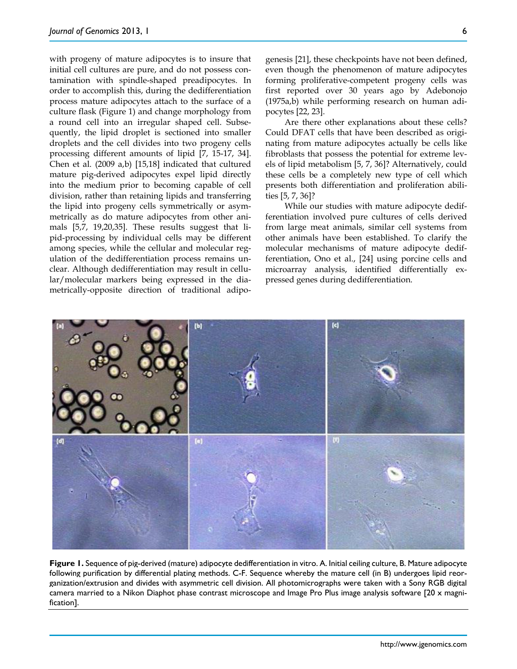with progeny of mature adipocytes is to insure that initial cell cultures are pure, and do not possess contamination with spindle-shaped preadipocytes. In order to accomplish this, during the dedifferentiation process mature adipocytes attach to the surface of a culture flask (Figure 1) and change morphology from a round cell into an irregular shaped cell. Subsequently, the lipid droplet is sectioned into smaller droplets and the cell divides into two progeny cells processing different amounts of lipid [7, 15-17, 34]. Chen et al. (2009 a,b) [15,18] indicated that cultured mature pig-derived adipocytes expel lipid directly into the medium prior to becoming capable of cell division, rather than retaining lipids and transferring the lipid into progeny cells symmetrically or asymmetrically as do mature adipocytes from other animals [5,7, 19,20,35]. These results suggest that lipid-processing by individual cells may be different among species, while the cellular and molecular regulation of the dedifferentiation process remains unclear. Although dedifferentiation may result in cellular/molecular markers being expressed in the diametrically-opposite direction of traditional adipo-

Are there other explanations about these cells? Could DFAT cells that have been described as originating from mature adipocytes actually be cells like fibroblasts that possess the potential for extreme levels of lipid metabolism [5, 7, 36]? Alternatively, could these cells be a completely new type of cell which presents both differentiation and proliferation abilities [5, 7, 36]?

While our studies with mature adipocyte dedifferentiation involved pure cultures of cells derived from large meat animals, similar cell systems from other animals have been established. To clarify the molecular mechanisms of mature adipocyte dedifferentiation, Ono et al., [24] using porcine cells and microarray analysis, identified differentially expressed genes during dedifferentiation.



**Figure 1.** Sequence of pig-derived (mature) adipocyte dedifferentiation in vitro. A. Initial ceiling culture, B. Mature adipocyte following purification by differential plating methods. C-F. Sequence whereby the mature cell (in B) undergoes lipid reorganization/extrusion and divides with asymmetric cell division. All photomicrographs were taken with a Sony RGB digital camera married to a Nikon Diaphot phase contrast microscope and Image Pro Plus image analysis software [20 x magnification].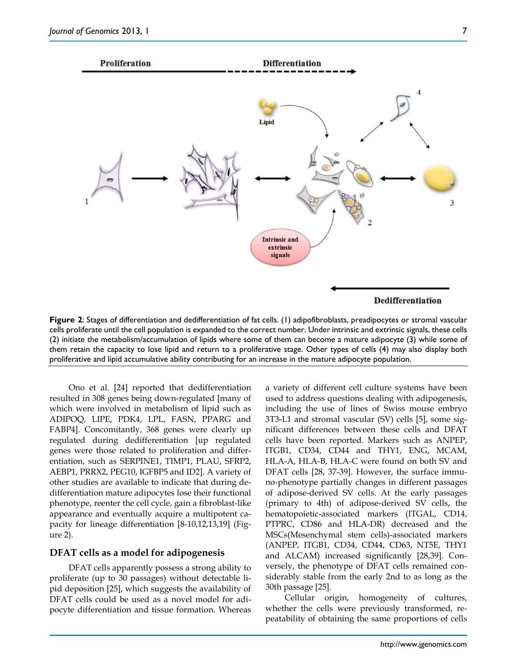

**Figure 2**: Stages of differentiation and dedifferentiation of fat cells. (1) adipofibroblasts, preadipocytes or stromal vascular cells proliferate until the cell population is expanded to the correct number. Under intrinsic and extrinsic signals, these cells (2) initiate the metabolism/accumulation of lipids where some of them can become a mature adipocyte (3) while some of them retain the capacity to lose lipid and return to a proliferative stage. Other types of cells (4) may also display both proliferative and lipid accumulative ability contributing for an increase in the mature adipocyte population.

Ono et al. [24] reported that dedifferentiation resulted in 308 genes being down-regulated [many of which were involved in metabolism of lipid such as ADIPOQ, LIPE, PDK4, LPL, FASN, PPARG and FABP4]. Concomitantly, 368 genes were clearly up regulated during dedifferentiation [up regulated genes were those related to proliferation and differentiation, such as SERPINE1, TIMP1, PLAU, SFRP2, AEBP1, PRRX2, PEG10, IGFBP5 and ID2]. A variety of other studies are available to indicate that during dedifferentiation mature adipocytes lose their functional phenotype, reenter the cell cycle, gain a fibroblast-like appearance and eventually acquire a multipotent capacity for lineage differentiation [8-10,12,13,19] (Figure 2).

#### **DFAT cells as a model for adipogenesis**

DFAT cells apparently possess a strong ability to proliferate (up to 30 passages) without detectable lipid deposition [25], which suggests the availability of DFAT cells could be used as a novel model for adipocyte differentiation and tissue formation. Whereas a variety of different cell culture systems have been used to address questions dealing with adipogenesis, including the use of lines of Swiss mouse embryo 3T3-L1 and stromal vascular (SV) cells [5], some significant differences between these cells and DFAT cells have been reported. Markers such as ANPEP, ITGB1, CD34, CD44 and THY1, ENG, MCAM, HLA-A, HLA-B, HLA-C were found on both SV and DFAT cells [28, 37-39]. However, the surface immuno-phenotype partially changes in different passages of adipose-derived SV cells. At the early passages (primary to 4th) of adipose-derived SV cells, the hematopoietic-associated markers (ITGAL, CD14, PTPRC, CD86 and HLA-DR) decreased and the MSCs(Mesenchymal stem cells)-associated markers (ANPEP, ITGB1, CD34, CD44, CD63, NT5E, THY1 and ALCAM) increased significantly [28,39]. Conversely, the phenotype of DFAT cells remained considerably stable from the early 2nd to as long as the 30th passage [25].

Cellular origin, homogeneity of cultures, whether the cells were previously transformed, repeatability of obtaining the same proportions of cells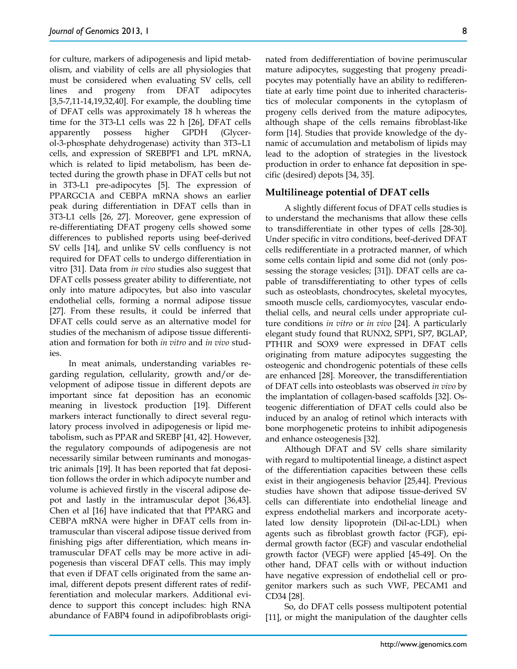for culture, markers of adipogenesis and lipid metabolism, and viability of cells are all physiologies that must be considered when evaluating SV cells, cell lines and progeny from DFAT adipocytes [3,5-7,11-14,19,32,40]. For example, the doubling time of DFAT cells was approximately 18 h whereas the time for the 3T3-L1 cells was 22 h [26], DFAT cells apparently possess higher GPDH (Glycerol-3-phosphate dehydrogenase) activity than 3T3–L1 cells, and expression of SREBPF1 and LPL mRNA, which is related to lipid metabolism, has been detected during the growth phase in DFAT cells but not in 3T3-L1 pre-adipocytes [5]. The expression of PPARGC1A and CEBPA mRNA shows an earlier peak during differentiation in DFAT cells than in 3T3-L1 cells [26, 27]. Moreover, gene expression of re-differentiating DFAT progeny cells showed some differences to published reports using beef-derived SV cells [14], and unlike SV cells confluency is not required for DFAT cells to undergo differentiation in vitro [31]. Data from *in vivo* studies also suggest that DFAT cells possess greater ability to differentiate, not only into mature adipocytes, but also into vascular endothelial cells, forming a normal adipose tissue [27]. From these results, it could be inferred that DFAT cells could serve as an alternative model for studies of the mechanism of adipose tissue differentiation and formation for both *in vitro* and *in vivo* studies.

In meat animals, understanding variables regarding regulation, cellularity, growth and/or development of adipose tissue in different depots are important since fat deposition has an economic meaning in livestock production [19]. Different markers interact functionally to direct several regulatory process involved in adipogenesis or lipid metabolism, such as PPAR and SREBP [41, 42]. However, the regulatory compounds of adipogenesis are not necessarily similar between ruminants and monogastric animals [19]. It has been reported that fat deposition follows the order in which adipocyte number and volume is achieved firstly in the visceral adipose depot and lastly in the intramuscular depot [36,43]. Chen et al [16] have indicated that that PPARG and CEBPA mRNA were higher in DFAT cells from intramuscular than visceral adipose tissue derived from finishing pigs after differentiation, which means intramuscular DFAT cells may be more active in adipogenesis than visceral DFAT cells. This may imply that even if DFAT cells originated from the same animal, different depots present different rates of redifferentiation and molecular markers. Additional evidence to support this concept includes: high RNA abundance of FABP4 found in adipofibroblasts originated from dedifferentiation of bovine perimuscular mature adipocytes, suggesting that progeny preadipocytes may potentially have an ability to redifferentiate at early time point due to inherited characteristics of molecular components in the cytoplasm of progeny cells derived from the mature adipocytes, although shape of the cells remains fibroblast-like form [14]. Studies that provide knowledge of the dynamic of accumulation and metabolism of lipids may lead to the adoption of strategies in the livestock production in order to enhance fat deposition in specific (desired) depots [34, 35].

# **Multilineage potential of DFAT cells**

A slightly different focus of DFAT cells studies is to understand the mechanisms that allow these cells to transdifferentiate in other types of cells [28-30]. Under specific in vitro conditions, beef-derived DFAT cells redifferentiate in a protracted manner, of which some cells contain lipid and some did not (only possessing the storage vesicles; [31]). DFAT cells are capable of transdifferentiating to other types of cells such as osteoblasts, chondrocytes, skeletal myocytes, smooth muscle cells, cardiomyocytes, vascular endothelial cells, and neural cells under appropriate culture conditions *in vitro* or *in vivo* [24]. A particularly elegant study found that RUNX2, SPP1, SP7, BGLAP, PTH1R and SOX9 were expressed in DFAT cells originating from mature adipocytes suggesting the osteogenic and chondrogenic potentials of these cells are enhanced [28]. Moreover, the transdifferentiation of DFAT cells into osteoblasts was observed *in vivo* by the implantation of collagen-based scaffolds [32]. Osteogenic differentiation of DFAT cells could also be induced by an analog of retinol which interacts with bone morphogenetic proteins to inhibit adipogenesis and enhance osteogenesis [32].

Although DFAT and SV cells share similarity with regard to multipotential lineage, a distinct aspect of the differentiation capacities between these cells exist in their angiogenesis behavior [25,44]. Previous studies have shown that adipose tissue-derived SV cells can differentiate into endothelial lineage and express endothelial markers and incorporate acetylated low density lipoprotein (Dil-ac-LDL) when agents such as fibroblast growth factor (FGF), epidermal growth factor (EGF) and vascular endothelial growth factor (VEGF) were applied [45-49]. On the other hand, DFAT cells with or without induction have negative expression of endothelial cell or progenitor markers such as such VWF, PECAM1 and CD34 [28].

So, do DFAT cells possess multipotent potential [11], or might the manipulation of the daughter cells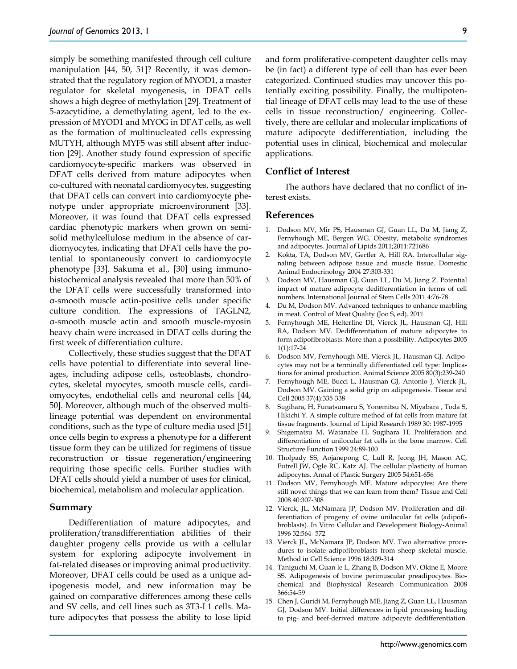simply be something manifested through cell culture manipulation [44, 50, 51]? Recently, it was demonstrated that the regulatory region of MYOD1, a master regulator for skeletal myogenesis, in DFAT cells shows a high degree of methylation [29]. Treatment of 5-azacytidine, a demethylating agent, led to the expression of MYOD1 and MYOG in DFAT cells, as well as the formation of multinucleated cells expressing MUTYH, although MYF5 was still absent after induction [29]. Another study found expression of specific cardiomyocyte-specific markers was observed in DFAT cells derived from mature adipocytes when co-cultured with neonatal cardiomyocytes, suggesting that DFAT cells can convert into cardiomyocyte phenotype under appropriate microenvironment [33]. Moreover, it was found that DFAT cells expressed cardiac phenotypic markers when grown on semisolid methylcellulose medium in the absence of cardiomyocytes, indicating that DFAT cells have the potential to spontaneously convert to cardiomyocyte phenotype [33]. Sakuma et al., [30] using immunohistochemical analysis revealed that more than 50% of the DFAT cells were successfully transformed into α-smooth muscle actin-positive cells under specific culture condition. The expressions of TAGLN2, α-smooth muscle actin and smooth muscle-myosin heavy chain were increased in DFAT cells during the first week of differentiation culture.

Collectively, these studies suggest that the DFAT cells have potential to differentiate into several lineages, including adipose cells, osteoblasts, chondrocytes, skeletal myocytes, smooth muscle cells, cardiomyocytes, endothelial cells and neuronal cells [44, 50]. Moreover, although much of the observed multilineage potential was dependent on environmental conditions, such as the type of culture media used [51] once cells begin to express a phenotype for a different tissue form they can be utilized for regimens of tissue reconstruction or tissue regeneration/engineering requiring those specific cells. Further studies with DFAT cells should yield a number of uses for clinical, biochemical, metabolism and molecular application.

#### **Summary**

Dedifferentiation of mature adipocytes, and proliferation/transdifferentiation abilities of their daughter progeny cells provide us with a cellular system for exploring adipocyte involvement in fat-related diseases or improving animal productivity. Moreover, DFAT cells could be used as a unique adipogenesis model, and new information may be gained on comparative differences among these cells and SV cells, and cell lines such as 3T3-L1 cells. Mature adipocytes that possess the ability to lose lipid

and form proliferative-competent daughter cells may be (in fact) a different type of cell than has ever been categorized. Continued studies may uncover this potentially exciting possibility. Finally, the multipotential lineage of DFAT cells may lead to the use of these cells in tissue reconstruction/ engineering. Collectively, there are cellular and molecular implications of mature adipocyte dedifferentiation, including the potential uses in clinical, biochemical and molecular applications.

#### **Conflict of Interest**

The authors have declared that no conflict of interest exists.

#### **References**

- 1. Dodson MV, Mir PS, Hausman GJ, Guan LL, Du M, Jiang Z, Fernyhough ME, Bergen WG. Obesity, metabolic syndromes and adipocytes. Journal of Lipids 2011;2011:721686
- 2. Kokta, TA, Dodson MV, Gertler A, Hill RA. Intercellular signaling between adipose tissue and muscle tissue. Domestic Animal Endocrinology 2004 27:303-331
- 3. Dodson MV, Hausman GJ, Guan LL, Du M, Jiang Z. Potential impact of mature adipocyte dedifferentiation in terms of cell numbers. International Journal of Stem Cells 2011 4:76-78
- 4. Du M, Dodson MV. Advanced techniques to enhance marbling in meat. Control of Meat Quality (Joo S, ed). 2011
- 5. Fernyhough ME, Helterline DI, Vierck JL, Hausman GJ, Hill RA, Dodson MV. Dedifferentiation of mature adipocytes to form adipofibroblasts: More than a possibility. Adipocytes 2005 1(1):17-24
- 6. Dodson MV, Fernyhough ME, Vierck JL, Hausman GJ. Adipocytes may not be a terminally differentiated cell type: Implications for animal production. Animal Science 2005 80(3):239-240
- 7. Fernyhough ME, Bucci L, Hausman GJ, Antonio J, Vierck JL, Dodson MV. Gaining a solid grip on adipogenesis. Tissue and Cell 2005 37(4):335-338
- 8. Sugihara, H, Funatsumaru S, Yonemitsu N, Miyabara , Toda S, Hikichi Y. A simple culture method of fat cells from mature fat tissue fragments. Journal of Lipid Research 1989 30: 1987-1995
- 9. Shigematsu M, Watanabe H, Sugihara H. Proliferation and differentiation of unilocular fat cells in the bone marrow. Cell Structure Function 1999 24:89-100
- 10. Tholpady SS, Aojanepong C, Lull R, Jeong JH, Mason AC, Futrell JW, Ogle RC, Katz AJ. The cellular plasticity of human adipocytes. Annal of Plastic Surgery 2005 54:651-656
- 11. Dodson MV, Fernyhough ME. Mature adipocytes: Are there still novel things that we can learn from them? Tissue and Cell 2008 40:307-308
- 12. Vierck, JL, McNamara JP, Dodson MV. Proliferation and differentiation of progeny of ovine unilocular fat cells (adipofibroblasts). In Vitro Cellular and Development Biology-Animal 1996 32:564- 572
- 13. Vierck JL, McNamara JP, Dodson MV. Two alternative procedures to isolate adipofibroblasts from sheep skeletal muscle. Method in Cell Science 1996 18:309-314
- 14. Taniguchi M, Guan le L, Zhang B, Dodson MV, Okine E, Moore SS. Adipogenesis of bovine perimuscular preadipocytes. Biochemical and Biophysical Research Communication 2008 366:54-59
- 15. Chen J, Guridi M, Fernyhough ME, Jiang Z, Guan LL, Hausman GJ, Dodson MV. Initial differences in lipid processing leading to pig- and beef-derived mature adipocyte dedifferentiation.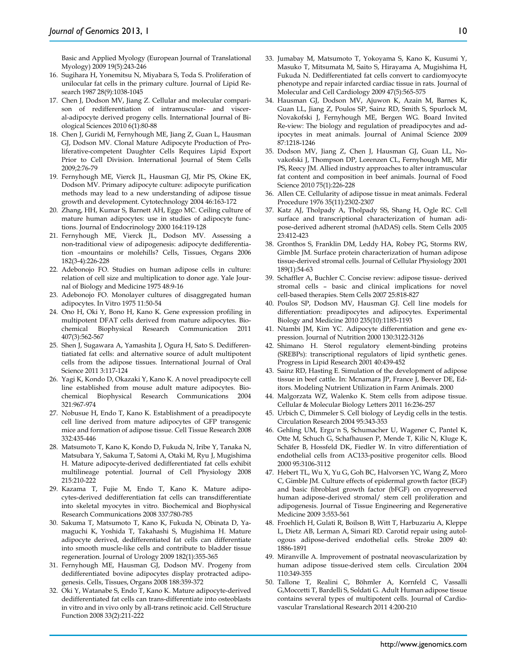Basic and Applied Myology (European Journal of Translational Myology) 2009 19(5):243-246

- 16. Sugihara H, Yonemitsu N, Miyabara S, Toda S. Proliferation of unilocular fat cells in the primary culture. Journal of Lipid Research 1987 28(9):1038-1045
- 17. Chen J, Dodson MV, Jiang Z. Cellular and molecular comparison of redifferentiation of intramuscular- and visceral-adipocyte derived progeny cells. International Journal of Biological Sciences 2010 6(1):80-88
- 18. Chen J, Guridi M, Fernyhough ME, Jiang Z, Guan L, Hausman GJ, Dodson MV. Clonal Mature Adipocyte Production of Proliferative-competent Daughter Cells Requires Lipid Export Prior to Cell Division. International Journal of Stem Cells 2009;2:76-79
- 19. Fernyhough ME, Vierck JL, Hausman GJ, Mir PS, Okine EK, Dodson MV. Primary adipocyte culture: adipocyte purification methods may lead to a new understanding of adipose tissue growth and development. Cytotechnology 2004 46:163-172
- 20. Zhang, HH, Kumar S, Barnett AH, Eggo MC. Ceiling culture of mature human adipocytes: use in studies of adipocyte functions. Journal of Endocrinology 2000 164:119-128
- 21. Fernyhough ME, Vierck JL, Dodson MV. Assessing a non-traditional view of adipogenesis: adipocyte dedifferentiation –mountains or molehills? Cells, Tissues, Organs 2006 182(3-4):226-228
- 22. Adebonojo FO. Studies on human adipose cells in culture: relation of cell size and multiplication to donor age. Yale Journal of Biology and Medicine 1975 48:9-16
- 23. Adebonojo FO. Monolayer cultures of disaggregated human adipocytes. In Vitro 1975 11:50-54
- 24. Ono H, Oki Y, Bono H, Kano K. Gene expression profiling in multipotent DFAT cells derived from mature adipocytes. Biochemical Biophysical Research Communication 2011 407(3):562-567
- 25. Shen J, Sugawara A, Yamashita J, Ogura H, Sato S. Dedifferentiatiated fat cells: and alternative source of adult multipotent cells from the adipose tissues. International Journal of Oral Science 2011 3:117-124
- 26. Yagi K, Kondo D, Okazaki Y, Kano K. A novel preadipocyte cell line established from mouse adult mature adipocytes. Biochemical Biophysical Research Communications 2004 321:967-974
- 27. Nobusue H, Endo T, Kano K. Establishment of a preadipocyte cell line derived from mature adipocytes of GFP transgenic mice and formation of adipose tissue. Cell Tissue Research 2008 332:435-446
- 28. Matsumoto T, Kano K, Kondo D, Fukuda N, Iribe Y, Tanaka N, Matsubara Y, Sakuma T, Satomi A, Otaki M, Ryu J, Mugishima H. Mature adipocyte-derived dedifferentiated fat cells exhibit multilineage potential. Journal of Cell Physiology 2008 215:210-222
- 29. Kazama T, Fujie M, Endo T, Kano K. Mature adipocytes-derived dedifferentiation fat cells can transdifferentiate into skeletal myocytes in vitro. Biochemical and Biophysical Research Communications 2008 337:780-785
- 30. Sakuma T, Matsumoto T, Kano K, Fukuda N, Obinata D, Yamaguchi K, Yoshida T, Takahashi S, Mugishima H. Mature adipocyte derived, dedifferentiated fat cells can differentiate into smooth muscle-like cells and contribute to bladder tissue regeneration. Journal of Urology 2009 182(1):355-365
- 31. Fernyhough ME, Hausman GJ, Dodson MV. Progeny from dedifferentiated bovine adipocytes display protracted adipogenesis. Cells, Tissues, Organs 2008 188:359-372
- 32. Oki Y, Watanabe S, Endo T, Kano K. Mature adipocyte-derived dedifferentiated fat cells can trans-differentiate into osteoblasts in vitro and in vivo only by all-trans retinoic acid. Cell Structure Function 2008 33(2):211-222
- 33. Jumabay M, Matsumoto T, Yokoyama S, Kano K, Kusumi Y, Masuko T, Mitsumata M, Saito S, Hirayama A, Mugishima H, Fukuda N. Dedifferentiated fat cells convert to cardiomyocyte phenotype and repair infarcted cardiac tissue in rats. Journal of Molecular and Cell Cardiology 2009 47(5):565-575
- 34. Hausman GJ, Dodson MV, Ajuwon K, Azain M, Barnes K, Guan LL, Jiang Z, Poulos SP, Sainz RD, Smith S, Spurlock M, Novakofski J, Fernyhough ME, Bergen WG. Board Invited Re-view: The biology and regulation of preadipocytes and adipocytes in meat animals. Journal of Animal Science 2009 87:1218-1246
- 35. Dodson MV, Jiang Z, Chen J, Hausman GJ, Guan LL, Novakofski J, Thompson DP, Lorenzen CL, Fernyhough ME, Mir PS, Reecy JM. Allied industry approaches to alter intramuscular fat content and composition in beef animals. Journal of Food Science 2010 75(1):226-228
- 36. Allen CE. Cellularity of adipose tissue in meat animals. Federal Procedure 1976 35(11):2302-2307
- 37. Katz AJ, Tholpady A, Tholpady SS, Shang H, Ogle RC. Cell surface and transcriptional characterization of human adipose-derived adherent stromal (hADAS) cells. Stem Cells 2005 23:412-423
- 38. Gronthos S, Franklin DM, Leddy HA, Robey PG, Storms RW, Gimble JM. Surface protein characterization of human adipose tissue-derived stromal cells. Journal of Cellular Physiology 2001 189(1):54-63
- 39. Schaffler A, Buchler C. Concise review: adipose tissue- derived stromal cells – basic and clinical implications for novel cell-based therapies. Stem Cells 2007 25:818-827
- 40. Poulos SP, Dodson MV, Hausman GJ. Cell line models for differentiation: preadipocytes and adipocytes. Experimental Biology and Medicine 2010 235(10):1185-1193
- 41. Ntambi JM, Kim YC. Adipocyte differentiation and gene expression. Journal of Nutrition 2000 130:3122-3126
- 42. Shimano H. Sterol regulatory element-binding proteins (SREBPs): transcriptional regulators of lipid synthetic genes. Progress in Lipid Research 2001 40:439-452
- 43. Sainz RD, Hasting E. Simulation of the development of adipose tissue in beef cattle. In: Mcnamara JP, France J, Beever DE, Editors. Modeling Nutrient Utilization in Farm Animals. 2000
- 44. Malgorzata WZ, Walenko K. Stem cells from adipose tissue. Cellular & Molecular Biology Letters 2011 16:236-257
- 45. Urbich C, Dimmeler S. Cell biology of Leydig cells in the testis. Circulation Research 2004 95:343-353
- 46. Gehling UM, Ergu¨n S, Schumacher U, Wagener C, Pantel K, Otte M, Schuch G, Schafhausen P, Mende T, Kilic N, Kluge K, Schäfer B, Hossfeld DK, Fiedler W. In vitro differentiation of endothelial cells from AC133-positive progenitor cells. Blood 2000 95:3106-3112
- 47. Hebert TL, Wu X, Yu G, Goh BC, Halvorsen YC, Wang Z, Moro C, Gimble JM. Culture effects of epidermal growth factor (EGF) and basic fibroblast growth factor (bFGF) on cryopreserved human adipose-derived stromal/ stem cell proliferation and adipogenesis. Journal of Tissue Engineering and Regenerative Medicine 2009 3:553-561
- 48. Froehlich H, Gulati R, Boilson B, Witt T, Harbuzariu A, Kleppe L, Dietz AB, Lerman A, Simari RD. Carotid repair using autologous adipose-derived endothelial cells. Stroke 2009 40: 1886-1891
- 49. Miranville A. Improvement of postnatal neovascularization by human adipose tissue-derived stem cells. Circulation 2004 110:349-355
- 50. Tallone T, Realini C, Böhmler A, Kornfeld C, Vassalli G,Moccetti T, Bardelli S, Soldati G. Adult Human adipose tissue contains several types of multipotent cells. Journal of Cardiovascular Translational Research 2011 4:200-210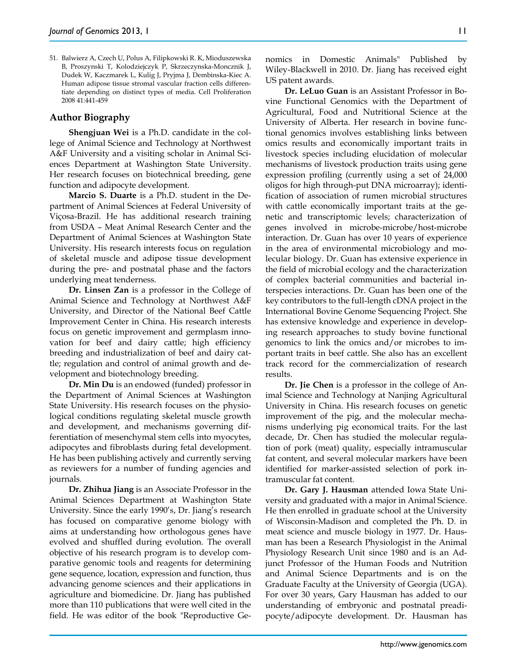51. Balwierz A, Czech U, Polus A, Filipkowski R. K, Mioduszewska B, Proszynski T, Kolodziejczyk P, Skrzeczynska-Moncznik J, Dudek W, Kaczmarek L, Kulig J, Pryjma J, Dembinska-Kiec A. Human adipose tissue stromal vascular fraction cells differentiate depending on distinct types of media. Cell Proliferation 2008 41:441-459

# **Author Biography**

**Shengjuan Wei** is a Ph.D. candidate in the college of Animal Science and Technology at Northwest A&F University and a visiting scholar in Animal Sciences Department at Washington State University. Her research focuses on biotechnical breeding, gene function and adipocyte development.

**Marcio S. Duarte** is a Ph.D. student in the Department of Animal Sciences at Federal University of Viçosa-Brazil. He has additional research training from USDA – Meat Animal Research Center and the Department of Animal Sciences at Washington State University. His research interests focus on regulation of skeletal muscle and adipose tissue development during the pre- and postnatal phase and the factors underlying meat tenderness.

**Dr. Linsen Zan** is a professor in the College of Animal Science and Technology at Northwest A&F University, and Director of the National Beef Cattle Improvement Center in China. His research interests focus on genetic improvement and germplasm innovation for beef and dairy cattle; high efficiency breeding and industrialization of beef and dairy cattle; regulation and control of animal growth and development and biotechnology breeding.

**Dr. Min Du** is an endowed (funded) professor in the Department of Animal Sciences at Washington State University. His research focuses on the physiological conditions regulating skeletal muscle growth and development, and mechanisms governing differentiation of mesenchymal stem cells into myocytes, adipocytes and fibroblasts during fetal development. He has been publishing actively and currently serving as reviewers for a number of funding agencies and journals.

**Dr. Zhihua Jiang** is an Associate Professor in the Animal Sciences Department at Washington State University. Since the early 1990's, Dr. Jiang's research has focused on comparative genome biology with aims at understanding how orthologous genes have evolved and shuffled during evolution. The overall objective of his research program is to develop comparative genomic tools and reagents for determining gene sequence, location, expression and function, thus advancing genome sciences and their applications in agriculture and biomedicine. Dr. Jiang has published more than 110 publications that were well cited in the field. He was editor of the book "Reproductive Genomics in Domestic Animals" Published by Wiley-Blackwell in 2010. Dr. Jiang has received eight US patent awards.

**Dr. LeLuo Guan** is an Assistant Professor in Bovine Functional Genomics with the Department of Agricultural, Food and Nutritional Science at the University of Alberta. Her research in bovine functional genomics involves establishing links between omics results and economically important traits in livestock species including elucidation of molecular mechanisms of livestock production traits using gene expression profiling (currently using a set of 24,000 oligos for high through-put DNA microarray); identification of association of rumen microbial structures with cattle economically important traits at the genetic and transcriptomic levels; characterization of genes involved in microbe-microbe/host-microbe interaction. Dr. Guan has over 10 years of experience in the area of environmental microbiology and molecular biology. Dr. Guan has extensive experience in the field of microbial ecology and the characterization of complex bacterial communities and bacterial interspecies interactions. Dr. Guan has been one of the key contributors to the full-length cDNA project in the International Bovine Genome Sequencing Project. She has extensive knowledge and experience in developing research approaches to study bovine functional genomics to link the omics and/or microbes to important traits in beef cattle. She also has an excellent track record for the commercialization of research results.

**Dr. Jie Chen** is a professor in the college of Animal Science and Technology at Nanjing Agricultural University in China. His research focuses on genetic improvement of the pig, and the molecular mechanisms underlying pig economical traits. For the last decade, Dr. Chen has studied the molecular regulation of pork (meat) quality, especially intramuscular fat content, and several molecular markers have been identified for marker-assisted selection of pork intramuscular fat content.

**Dr. Gary J. Hausman** attended Iowa State University and graduated with a major in Animal Science. He then enrolled in graduate school at the University of Wisconsin-Madison and completed the Ph. D. in meat science and muscle biology in 1977. Dr. Hausman has been a Research Physiologist in the Animal Physiology Research Unit since 1980 and is an Adjunct Professor of the Human Foods and Nutrition and Animal Science Departments and is on the Graduate Faculty at the University of Georgia (UGA). For over 30 years, Gary Hausman has added to our understanding of embryonic and postnatal preadipocyte/adipocyte development. Dr. Hausman has